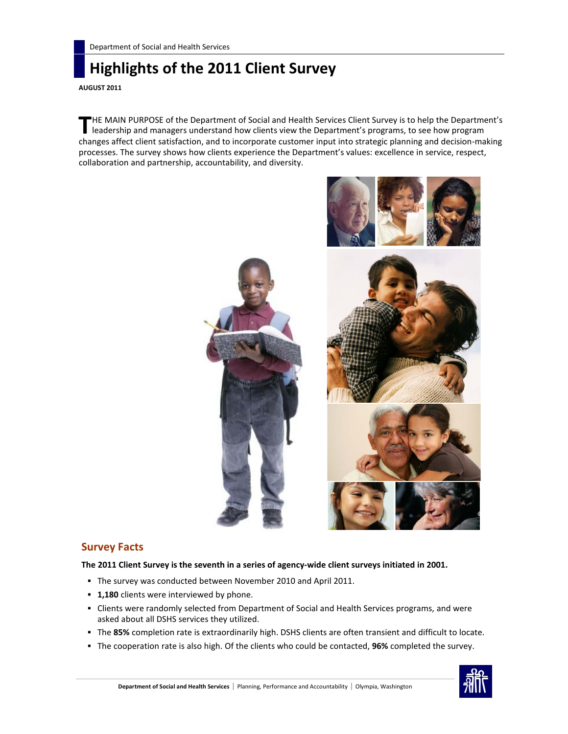# **Highlights of the 2011 Client Survey**

**AUGUST 2011**

HE MAIN PURPOSE of the Department of Social and Health Services Client Survey is to help the Department's **THE MAIN PURPOSE of the Department of Social and Health Services Client Survey is to help the Department's programs, to see how program leadership and managers understand how clients view the Department's programs, to see** changes affect client satisfaction, and to incorporate customer input into strategic planning and decision-making processes. The survey shows how clients experience the Department's values: excellence in service, respect, collaboration and partnership, accountability, and diversity.



# **Survey Facts**

**The 2011 Client Survey is the seventh in a series of agency-wide client surveys initiated in 2001.** 

- The survey was conducted between November 2010 and April 2011.
- **1,180** clients were interviewed by phone.
- Clients were randomly selected from Department of Social and Health Services programs, and were asked about all DSHS services they utilized.
- The **85%** completion rate is extraordinarily high. DSHS clients are often transient and difficult to locate.
- The cooperation rate is also high. Of the clients who could be contacted, **96%** completed the survey.

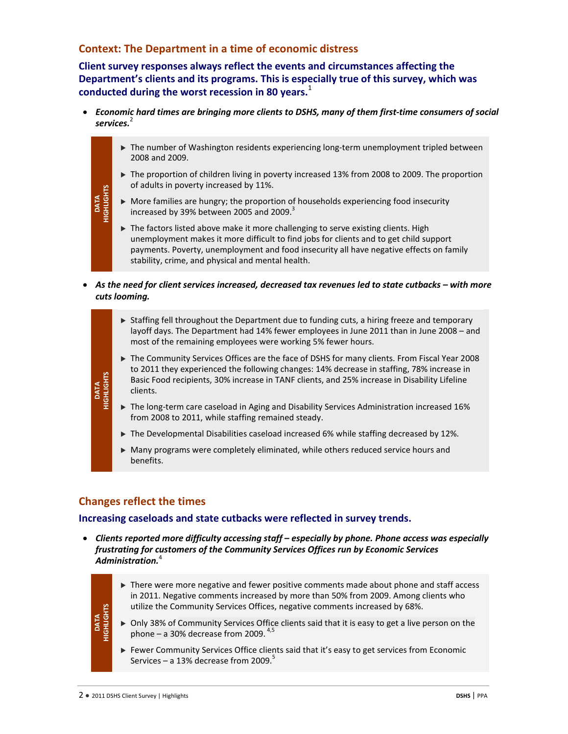# **Context: The Department in a time of economic distress**

**Client survey responses always reflect the events and circumstances affecting the Department's clients and its programs. This is especially true of this survey, which was conducted during the worst recession in 80 years.**<sup>1</sup>

- *Economic hard times are bringing more clients to DSHS, many of them first-time consumers of social services.*<sup>2</sup>
	- ▶ The number of Washington residents experiencing long-term unemployment tripled between 2008 and 2009.
	- ▶ The proportion of children living in poverty increased 13% from 2008 to 2009. The proportion of adults in poverty increased by 11%.
	- $\triangleright$  More families are hungry; the proportion of households experiencing food insecurity increased by 39% between 2005 and 2009. $3$
	- The factors listed above make it more challenging to serve existing clients. High unemployment makes it more difficult to find jobs for clients and to get child support payments. Poverty, unemployment and food insecurity all have negative effects on family stability, crime, and physical and mental health.
- *As the need for client services increased, decreased tax revenues led to state cutbacks – with more cuts looming.*
	- Staffing fell throughout the Department due to funding cuts, a hiring freeze and temporary layoff days. The Department had 14% fewer employees in June 2011 than in June 2008 – and most of the remaining employees were working 5% fewer hours.
	- ▶ The Community Services Offices are the face of DSHS for many clients. From Fiscal Year 2008 to 2011 they experienced the following changes: 14% decrease in staffing, 78% increase in Basic Food recipients, 30% increase in TANF clients, and 25% increase in Disability Lifeline clients.
	- The long-term care caseload in Aging and Disability Services Administration increased 16% from 2008 to 2011, while staffing remained steady.
	- The Developmental Disabilities caseload increased 6% while staffing decreased by 12%.
	- $\triangleright$  Many programs were completely eliminated, while others reduced service hours and benefits.

# **Changes reflect the times**

# **Increasing caseloads and state cutbacks were reflected in survey trends.**

• *Clients reported more difficulty accessing staff – especially by phone. Phone access was especially frustrating for customers of the Community Services Offices run by Economic Services Administration.*<sup>4</sup>

**DATA HIGHLIGHTS**

**DATA** 

DATA<br>IIGHLIGHTS

- ▶ There were more negative and fewer positive comments made about phone and staff access in 2011. Negative comments increased by more than 50% from 2009. Among clients who utilize the Community Services Offices, negative comments increased by 68%.
- Only 38% of Community Services Office clients said that it is easy to get a live person on the phone – a 30% decrease from 2009.  $4,5$
- Fewer Community Services Office clients said that it's easy to get services from Economic Services – a 13% decrease from 2009.<sup>5</sup>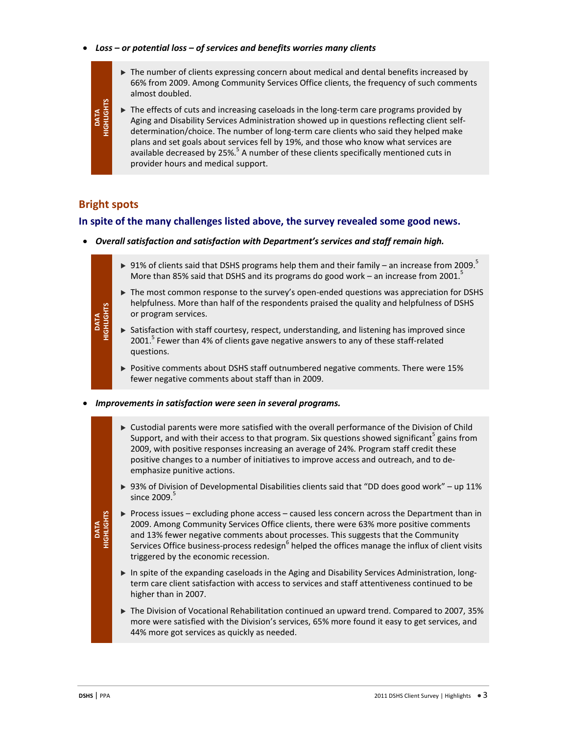- *Loss – or potential loss – of services and benefits worries many clients*
	- The number of clients expressing concern about medical and dental benefits increased by 66% from 2009. Among Community Services Office clients, the frequency of such comments almost doubled.
	- The effects of cuts and increasing caseloads in the long-term care programs provided by Aging and Disability Services Administration showed up in questions reflecting client selfdetermination/choice. The number of long-term care clients who said they helped make plans and set goals about services fell by 19%, and those who know what services are available decreased by 25%.<sup>5</sup> A number of these clients specifically mentioned cuts in provider hours and medical support.

# **Bright spots**

DATA<br>IGHLIGHTS

**DATA HIGHLIGHTS**

# **In spite of the many challenges listed above, the survey revealed some good news.**

- *Overall satisfaction and satisfaction with Department's services and staff remain high.*
	- $\triangleright$  91% of clients said that DSHS programs help them and their family an increase from 2009.<sup>5</sup> More than 85% said that DSHS and its programs do good work – an increase from 2001. $^5$
	- $\triangleright$  The most common response to the survey's open-ended questions was appreciation for DSHS helpfulness. More than half of the respondents praised the quality and helpfulness of DSHS or program services.
	- $\triangleright$  Satisfaction with staff courtesy, respect, understanding, and listening has improved since 2001. $^5$  Fewer than 4% of clients gave negative answers to any of these staff-related questions.
		- Positive comments about DSHS staff outnumbered negative comments. There were 15% fewer negative comments about staff than in 2009.
- *Improvements in satisfaction were seen in several programs.*
	- Custodial parents were more satisfied with the overall performance of the Division of Child Support, and with their access to that program. Six questions showed significant<sup>5</sup> gains from 2009, with positive responses increasing an average of 24%. Program staff credit these positive changes to a number of initiatives to improve access and outreach, and to deemphasize punitive actions.
	- ▶ 93% of Division of Developmental Disabilities clients said that "DD does good work" up 11% since  $2009.<sup>5</sup>$
	- $\triangleright$  Process issues excluding phone access caused less concern across the Department than in 2009. Among Community Services Office clients, there were 63% more positive comments and 13% fewer negative comments about processes. This suggests that the Community Services Office business-process redesign<sup>6</sup> helped the offices manage the influx of client visits triggered by the economic recession.
	- In spite of the expanding caseloads in the Aging and Disability Services Administration, longterm care client satisfaction with access to services and staff attentiveness continued to be higher than in 2007.
	- ▶ The Division of Vocational Rehabilitation continued an upward trend. Compared to 2007, 35% more were satisfied with the Division's services, 65% more found it easy to get services, and 44% more got services as quickly as needed.

DATA<br>HIGHLIGHTS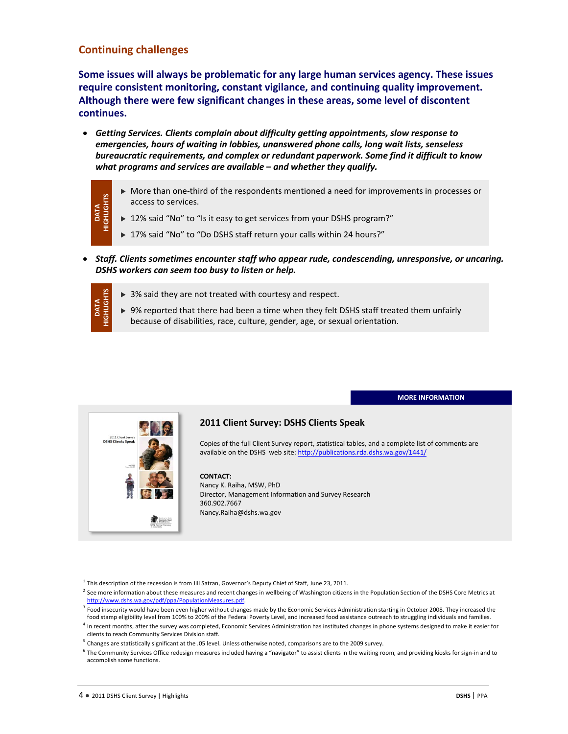# **Continuing challenges**

DATA<br>HIGHLIGHTS

**DATA**<br>GHLIGH

**Some issues will always be problematic for any large human services agency. These issues require consistent monitoring, constant vigilance, and continuing quality improvement. Although there were few significant changes in these areas, some level of discontent continues.**

- *Getting Services. Clients complain about difficulty getting appointments, slow response to emergencies, hours of waiting in lobbies, unanswered phone calls, long wait lists, senseless bureaucratic requirements, and complex or redundant paperwork. Some find it difficult to know what programs and services are available – and whether they qualify.*
	- More than one-third of the respondents mentioned a need for improvements in processes or access to services.
	- ▶ 12% said "No" to "Is it easy to get services from your DSHS program?"
		- ▶ 17% said "No" to "Do DSHS staff return your calls within 24 hours?"
- *Staff. Clients sometimes encounter staff who appear rude, condescending, unresponsive, or uncaring. DSHS workers can seem too busy to listen or help.*
	- ▶ 3% said they are not treated with courtesy and respect.
	- $\triangleright$  9% reported that there had been a time when they felt DSHS staff treated them unfairly because of disabilities, race, culture, gender, age, or sexual orientation.

**MORE INFORMATION**



### **2011 Client Survey: DSHS Clients Speak**

Copies of the full Client Survey report, statistical tables, and a complete list of comments are available on the DSHS web site[: http://publications.rda.dshs.wa.gov/1441/](http://publications.rda.dshs.wa.gov/1441/)

#### **CONTACT:**

Nancy K. Raiha, MSW, PhD Director, Management Information and Survey Research 360.902.7667 Nancy.Raiha@dshs.wa.gov

 $<sup>1</sup>$  This description of the recession is from Jill Satran, Governor's Deputy Chief of Staff, June 23, 2011.</sup>

- $^2$  See more information about these measures and recent changes in wellbeing of Washington citizens in the Population Section of the DSHS Core Metrics at [http://www.dshs.wa.gov/pdf/ppa/PopulationMeasures.pdf.](http://www.dshs.wa.gov/pdf/ppa/PopulationMeasures.pdf)
- <sup>3</sup> Food insecurity would have been even higher without changes made by the Economic Services Administration starting in October 2008. They increased the
- food stamp eligibility level from 100% to 200% of the Federal Poverty Level, and increased food assistance outreach to struggling individuals and families.<br><sup>4</sup> In recent months, after the survey was completed, Economic Ser clients to reach Community Services Division staff.
- $5$  Changes are statistically significant at the .05 level. Unless otherwise noted, comparisons are to the 2009 survey.

<sup>&</sup>lt;sup>6</sup> The Community Services Office redesign measures included having a "navigator" to assist clients in the waiting room, and providing kiosks for sign-in and to accomplish some functions.